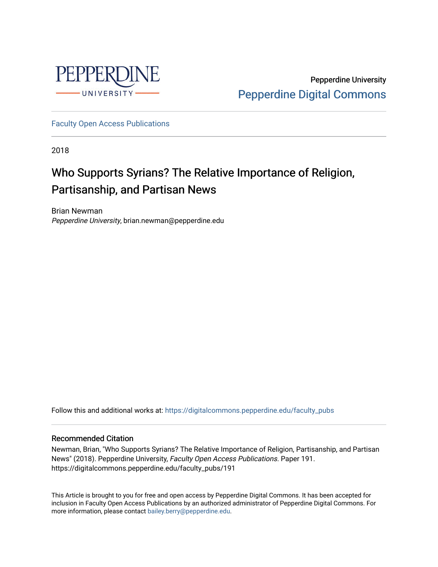

Pepperdine University [Pepperdine Digital Commons](https://digitalcommons.pepperdine.edu/) 

[Faculty Open Access Publications](https://digitalcommons.pepperdine.edu/faculty_pubs)

2018

# Who Supports Syrians? The Relative Importance of Religion, Partisanship, and Partisan News

Brian Newman Pepperdine University, brian.newman@pepperdine.edu

Follow this and additional works at: [https://digitalcommons.pepperdine.edu/faculty\\_pubs](https://digitalcommons.pepperdine.edu/faculty_pubs?utm_source=digitalcommons.pepperdine.edu%2Ffaculty_pubs%2F191&utm_medium=PDF&utm_campaign=PDFCoverPages)

#### Recommended Citation

Newman, Brian, "Who Supports Syrians? The Relative Importance of Religion, Partisanship, and Partisan News" (2018). Pepperdine University, Faculty Open Access Publications. Paper 191. https://digitalcommons.pepperdine.edu/faculty\_pubs/191

This Article is brought to you for free and open access by Pepperdine Digital Commons. It has been accepted for inclusion in Faculty Open Access Publications by an authorized administrator of Pepperdine Digital Commons. For more information, please contact [bailey.berry@pepperdine.edu.](mailto:bailey.berry@pepperdine.edu)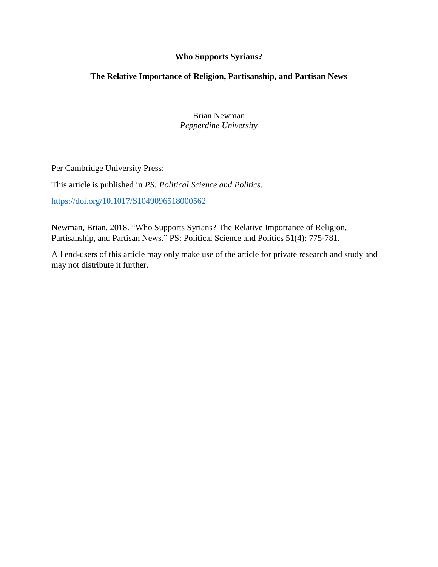## **Who Supports Syrians?**

## **The Relative Importance of Religion, Partisanship, and Partisan News**

Brian Newman *Pepperdine University*

Per Cambridge University Press:

This article is published in *PS: Political Science and Politics*.

<https://doi.org/10.1017/S1049096518000562>

Newman, Brian. 2018. "Who Supports Syrians? The Relative Importance of Religion, Partisanship, and Partisan News." PS: Political Science and Politics 51(4): 775-781.

All end-users of this article may only make use of the article for private research and study and may not distribute it further.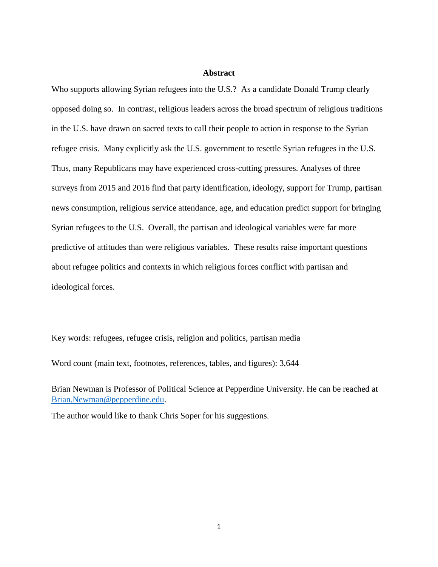#### **Abstract**

Who supports allowing Syrian refugees into the U.S.? As a candidate Donald Trump clearly opposed doing so. In contrast, religious leaders across the broad spectrum of religious traditions in the U.S. have drawn on sacred texts to call their people to action in response to the Syrian refugee crisis. Many explicitly ask the U.S. government to resettle Syrian refugees in the U.S. Thus, many Republicans may have experienced cross-cutting pressures. Analyses of three surveys from 2015 and 2016 find that party identification, ideology, support for Trump, partisan news consumption, religious service attendance, age, and education predict support for bringing Syrian refugees to the U.S. Overall, the partisan and ideological variables were far more predictive of attitudes than were religious variables. These results raise important questions about refugee politics and contexts in which religious forces conflict with partisan and ideological forces.

Key words: refugees, refugee crisis, religion and politics, partisan media

Word count (main text, footnotes, references, tables, and figures): 3,644

Brian Newman is Professor of Political Science at Pepperdine University. He can be reached at [Brian.Newman@pepperdine.edu.](mailto:Brian.Newman@pepperdine.edu)

The author would like to thank Chris Soper for his suggestions.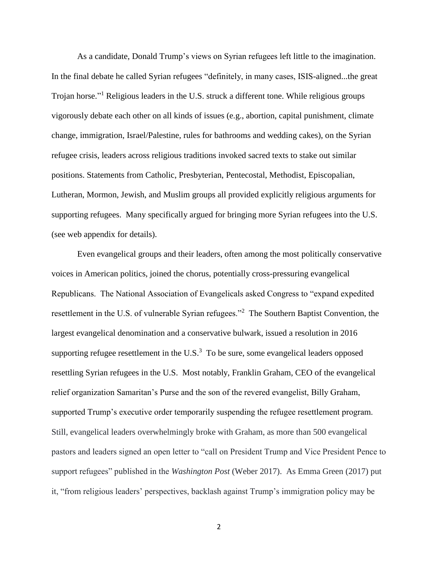As a candidate, Donald Trump's views on Syrian refugees left little to the imagination. In the final debate he called Syrian refugees "definitely, in many cases, ISIS-aligned...the great Trojan horse."<sup>1</sup> Religious leaders in the U.S. struck a different tone. While religious groups vigorously debate each other on all kinds of issues (e.g., abortion, capital punishment, climate change, immigration, Israel/Palestine, rules for bathrooms and wedding cakes), on the Syrian refugee crisis, leaders across religious traditions invoked sacred texts to stake out similar positions. Statements from Catholic, Presbyterian, Pentecostal, Methodist, Episcopalian, Lutheran, Mormon, Jewish, and Muslim groups all provided explicitly religious arguments for supporting refugees. Many specifically argued for bringing more Syrian refugees into the U.S. (see web appendix for details).

Even evangelical groups and their leaders, often among the most politically conservative voices in American politics, joined the chorus, potentially cross-pressuring evangelical Republicans. The National Association of Evangelicals asked Congress to "expand expedited resettlement in the U.S. of vulnerable Syrian refugees."<sup>2</sup> The Southern Baptist Convention, the largest evangelical denomination and a conservative bulwark, issued a resolution in 2016 supporting refugee resettlement in the  $U.S.^3$  To be sure, some evangelical leaders opposed resettling Syrian refugees in the U.S. Most notably, Franklin Graham, CEO of the evangelical relief organization Samaritan's Purse and the son of the revered evangelist, Billy Graham, supported Trump's executive order temporarily suspending the refugee resettlement program. Still, evangelical leaders overwhelmingly broke with Graham, as more than 500 evangelical pastors and leaders signed an open letter to "call on President Trump and Vice President Pence to support refugees" published in the *Washington Post* (Weber 2017). As Emma Green (2017) put it, "from religious leaders' perspectives, backlash against Trump's immigration policy may be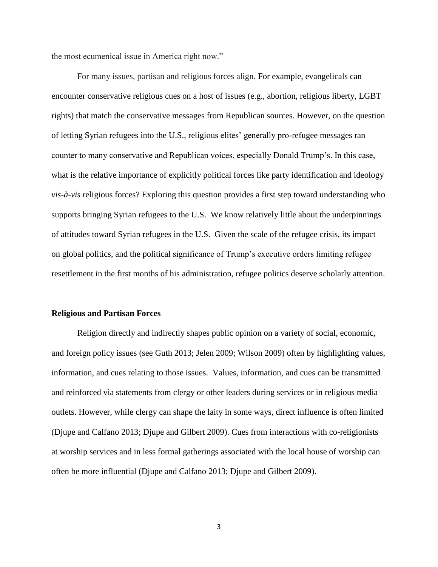the most ecumenical issue in America right now."

For many issues, partisan and religious forces align. For example, evangelicals can encounter conservative religious cues on a host of issues (e.g., abortion, religious liberty, LGBT rights) that match the conservative messages from Republican sources. However, on the question of letting Syrian refugees into the U.S., religious elites' generally pro-refugee messages ran counter to many conservative and Republican voices, especially Donald Trump's. In this case, what is the relative importance of explicitly political forces like party identification and ideology *vis-à-vis* religious forces? Exploring this question provides a first step toward understanding who supports bringing Syrian refugees to the U.S. We know relatively little about the underpinnings of attitudes toward Syrian refugees in the U.S. Given the scale of the refugee crisis, its impact on global politics, and the political significance of Trump's executive orders limiting refugee resettlement in the first months of his administration, refugee politics deserve scholarly attention.

#### **Religious and Partisan Forces**

Religion directly and indirectly shapes public opinion on a variety of social, economic, and foreign policy issues (see Guth 2013; Jelen 2009; Wilson 2009) often by highlighting values, information, and cues relating to those issues. Values, information, and cues can be transmitted and reinforced via statements from clergy or other leaders during services or in religious media outlets. However, while clergy can shape the laity in some ways, direct influence is often limited (Djupe and Calfano 2013; Djupe and Gilbert 2009). Cues from interactions with co-religionists at worship services and in less formal gatherings associated with the local house of worship can often be more influential (Djupe and Calfano 2013; Djupe and Gilbert 2009).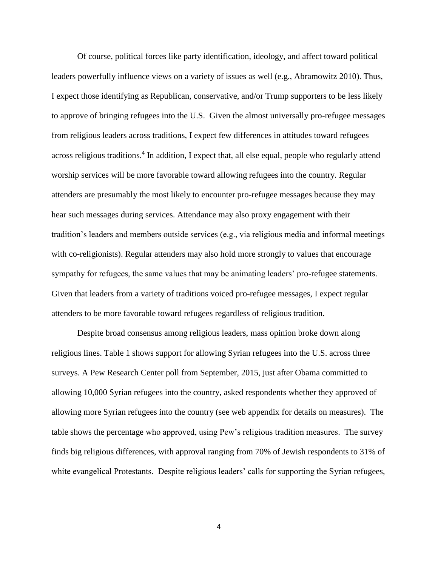Of course, political forces like party identification, ideology, and affect toward political leaders powerfully influence views on a variety of issues as well (e.g., Abramowitz 2010). Thus, I expect those identifying as Republican, conservative, and/or Trump supporters to be less likely to approve of bringing refugees into the U.S. Given the almost universally pro-refugee messages from religious leaders across traditions, I expect few differences in attitudes toward refugees across religious traditions.<sup>4</sup> In addition, I expect that, all else equal, people who regularly attend worship services will be more favorable toward allowing refugees into the country. Regular attenders are presumably the most likely to encounter pro-refugee messages because they may hear such messages during services. Attendance may also proxy engagement with their tradition's leaders and members outside services (e.g., via religious media and informal meetings with co-religionists). Regular attenders may also hold more strongly to values that encourage sympathy for refugees, the same values that may be animating leaders' pro-refugee statements. Given that leaders from a variety of traditions voiced pro-refugee messages, I expect regular attenders to be more favorable toward refugees regardless of religious tradition.

Despite broad consensus among religious leaders, mass opinion broke down along religious lines. Table 1 shows support for allowing Syrian refugees into the U.S. across three surveys. A Pew Research Center poll from September, 2015, just after Obama committed to allowing 10,000 Syrian refugees into the country, asked respondents whether they approved of allowing more Syrian refugees into the country (see web appendix for details on measures). The table shows the percentage who approved, using Pew's religious tradition measures. The survey finds big religious differences, with approval ranging from 70% of Jewish respondents to 31% of white evangelical Protestants. Despite religious leaders' calls for supporting the Syrian refugees,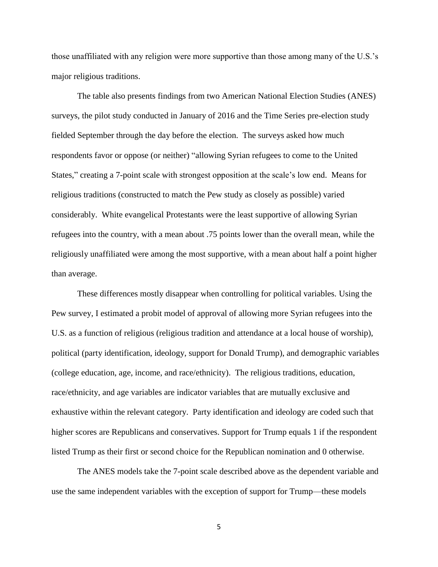those unaffiliated with any religion were more supportive than those among many of the U.S.'s major religious traditions.

The table also presents findings from two American National Election Studies (ANES) surveys, the pilot study conducted in January of 2016 and the Time Series pre-election study fielded September through the day before the election. The surveys asked how much respondents favor or oppose (or neither) "allowing Syrian refugees to come to the United States," creating a 7-point scale with strongest opposition at the scale's low end. Means for religious traditions (constructed to match the Pew study as closely as possible) varied considerably. White evangelical Protestants were the least supportive of allowing Syrian refugees into the country, with a mean about .75 points lower than the overall mean, while the religiously unaffiliated were among the most supportive, with a mean about half a point higher than average.

These differences mostly disappear when controlling for political variables. Using the Pew survey, I estimated a probit model of approval of allowing more Syrian refugees into the U.S. as a function of religious (religious tradition and attendance at a local house of worship), political (party identification, ideology, support for Donald Trump), and demographic variables (college education, age, income, and race/ethnicity). The religious traditions, education, race/ethnicity, and age variables are indicator variables that are mutually exclusive and exhaustive within the relevant category. Party identification and ideology are coded such that higher scores are Republicans and conservatives. Support for Trump equals 1 if the respondent listed Trump as their first or second choice for the Republican nomination and 0 otherwise.

The ANES models take the 7-point scale described above as the dependent variable and use the same independent variables with the exception of support for Trump—these models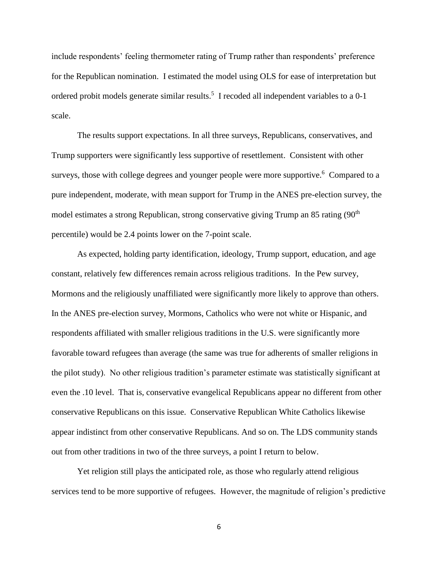include respondents' feeling thermometer rating of Trump rather than respondents' preference for the Republican nomination. I estimated the model using OLS for ease of interpretation but ordered probit models generate similar results.<sup>5</sup> I recoded all independent variables to a 0-1 scale.

The results support expectations. In all three surveys, Republicans, conservatives, and Trump supporters were significantly less supportive of resettlement. Consistent with other surveys, those with college degrees and younger people were more supportive.<sup>6</sup> Compared to a pure independent, moderate, with mean support for Trump in the ANES pre-election survey, the model estimates a strong Republican, strong conservative giving Trump an 85 rating (90<sup>th</sup>) percentile) would be 2.4 points lower on the 7-point scale.

As expected, holding party identification, ideology, Trump support, education, and age constant, relatively few differences remain across religious traditions. In the Pew survey, Mormons and the religiously unaffiliated were significantly more likely to approve than others. In the ANES pre-election survey, Mormons, Catholics who were not white or Hispanic, and respondents affiliated with smaller religious traditions in the U.S. were significantly more favorable toward refugees than average (the same was true for adherents of smaller religions in the pilot study). No other religious tradition's parameter estimate was statistically significant at even the .10 level. That is, conservative evangelical Republicans appear no different from other conservative Republicans on this issue. Conservative Republican White Catholics likewise appear indistinct from other conservative Republicans. And so on. The LDS community stands out from other traditions in two of the three surveys, a point I return to below.

Yet religion still plays the anticipated role, as those who regularly attend religious services tend to be more supportive of refugees. However, the magnitude of religion's predictive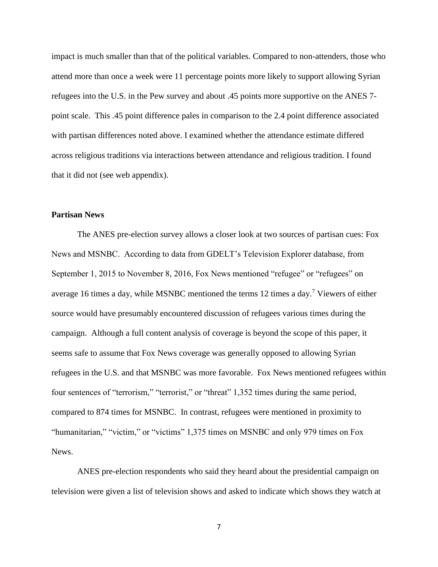impact is much smaller than that of the political variables. Compared to non-attenders, those who attend more than once a week were 11 percentage points more likely to support allowing Syrian refugees into the U.S. in the Pew survey and about .45 points more supportive on the ANES 7 point scale. This .45 point difference pales in comparison to the 2.4 point difference associated with partisan differences noted above. I examined whether the attendance estimate differed across religious traditions via interactions between attendance and religious tradition. I found that it did not (see web appendix).

### **Partisan News**

The ANES pre-election survey allows a closer look at two sources of partisan cues: Fox News and MSNBC. According to data from GDELT's Television Explorer database, from September 1, 2015 to November 8, 2016, Fox News mentioned "refugee" or "refugees" on average 16 times a day, while MSNBC mentioned the terms 12 times a day.<sup>7</sup> Viewers of either source would have presumably encountered discussion of refugees various times during the campaign. Although a full content analysis of coverage is beyond the scope of this paper, it seems safe to assume that Fox News coverage was generally opposed to allowing Syrian refugees in the U.S. and that MSNBC was more favorable. Fox News mentioned refugees within four sentences of "terrorism," "terrorist," or "threat" 1,352 times during the same period, compared to 874 times for MSNBC. In contrast, refugees were mentioned in proximity to "humanitarian," "victim," or "victims" 1,375 times on MSNBC and only 979 times on Fox News.

ANES pre-election respondents who said they heard about the presidential campaign on television were given a list of television shows and asked to indicate which shows they watch at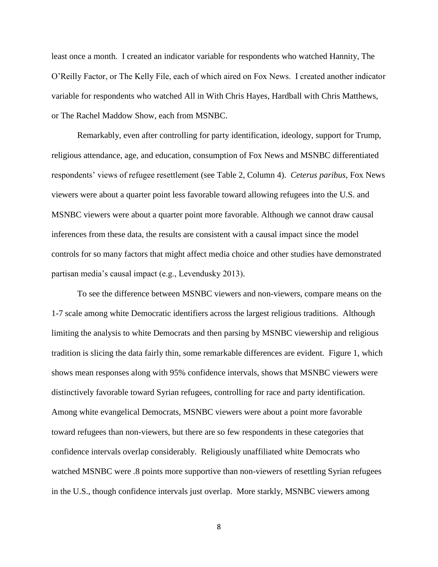least once a month. I created an indicator variable for respondents who watched Hannity, The O'Reilly Factor, or The Kelly File, each of which aired on Fox News. I created another indicator variable for respondents who watched All in With Chris Hayes, Hardball with Chris Matthews, or The Rachel Maddow Show, each from MSNBC.

Remarkably, even after controlling for party identification, ideology, support for Trump, religious attendance, age, and education, consumption of Fox News and MSNBC differentiated respondents' views of refugee resettlement (see Table 2, Column 4). *Ceterus paribus*, Fox News viewers were about a quarter point less favorable toward allowing refugees into the U.S. and MSNBC viewers were about a quarter point more favorable. Although we cannot draw causal inferences from these data, the results are consistent with a causal impact since the model controls for so many factors that might affect media choice and other studies have demonstrated partisan media's causal impact (e.g., Levendusky 2013).

To see the difference between MSNBC viewers and non-viewers, compare means on the 1-7 scale among white Democratic identifiers across the largest religious traditions. Although limiting the analysis to white Democrats and then parsing by MSNBC viewership and religious tradition is slicing the data fairly thin, some remarkable differences are evident. Figure 1, which shows mean responses along with 95% confidence intervals, shows that MSNBC viewers were distinctively favorable toward Syrian refugees, controlling for race and party identification. Among white evangelical Democrats, MSNBC viewers were about a point more favorable toward refugees than non-viewers, but there are so few respondents in these categories that confidence intervals overlap considerably. Religiously unaffiliated white Democrats who watched MSNBC were .8 points more supportive than non-viewers of resettling Syrian refugees in the U.S., though confidence intervals just overlap. More starkly, MSNBC viewers among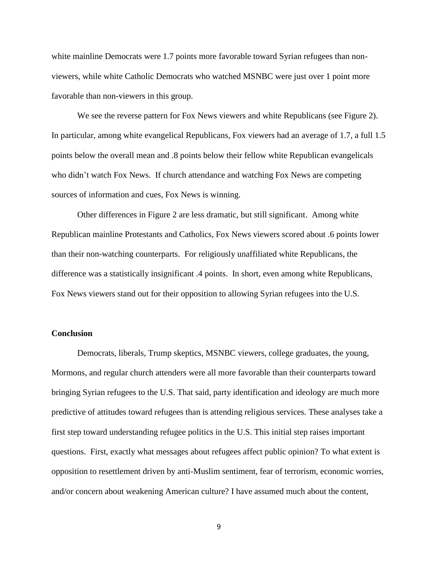white mainline Democrats were 1.7 points more favorable toward Syrian refugees than nonviewers, while white Catholic Democrats who watched MSNBC were just over 1 point more favorable than non-viewers in this group.

We see the reverse pattern for Fox News viewers and white Republicans (see Figure 2). In particular, among white evangelical Republicans, Fox viewers had an average of 1.7, a full 1.5 points below the overall mean and .8 points below their fellow white Republican evangelicals who didn't watch Fox News. If church attendance and watching Fox News are competing sources of information and cues, Fox News is winning.

Other differences in Figure 2 are less dramatic, but still significant. Among white Republican mainline Protestants and Catholics, Fox News viewers scored about .6 points lower than their non-watching counterparts. For religiously unaffiliated white Republicans, the difference was a statistically insignificant .4 points. In short, even among white Republicans, Fox News viewers stand out for their opposition to allowing Syrian refugees into the U.S.

#### **Conclusion**

Democrats, liberals, Trump skeptics, MSNBC viewers, college graduates, the young, Mormons, and regular church attenders were all more favorable than their counterparts toward bringing Syrian refugees to the U.S. That said, party identification and ideology are much more predictive of attitudes toward refugees than is attending religious services. These analyses take a first step toward understanding refugee politics in the U.S. This initial step raises important questions. First, exactly what messages about refugees affect public opinion? To what extent is opposition to resettlement driven by anti-Muslim sentiment, fear of terrorism, economic worries, and/or concern about weakening American culture? I have assumed much about the content,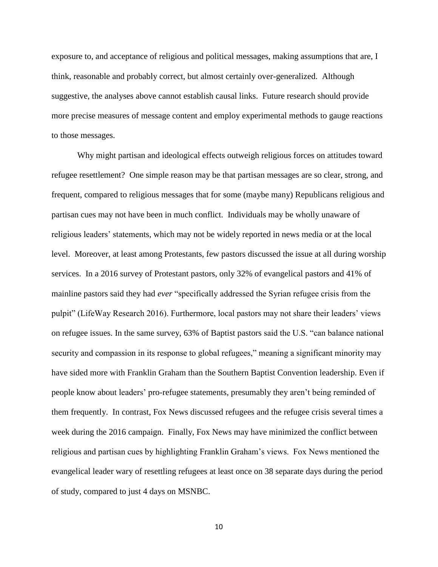exposure to, and acceptance of religious and political messages, making assumptions that are, I think, reasonable and probably correct, but almost certainly over-generalized. Although suggestive, the analyses above cannot establish causal links. Future research should provide more precise measures of message content and employ experimental methods to gauge reactions to those messages.

Why might partisan and ideological effects outweigh religious forces on attitudes toward refugee resettlement? One simple reason may be that partisan messages are so clear, strong, and frequent, compared to religious messages that for some (maybe many) Republicans religious and partisan cues may not have been in much conflict. Individuals may be wholly unaware of religious leaders' statements, which may not be widely reported in news media or at the local level. Moreover, at least among Protestants, few pastors discussed the issue at all during worship services. In a 2016 survey of Protestant pastors, only 32% of evangelical pastors and 41% of mainline pastors said they had *ever* "specifically addressed the Syrian refugee crisis from the pulpit" (LifeWay Research 2016). Furthermore, local pastors may not share their leaders' views on refugee issues. In the same survey, 63% of Baptist pastors said the U.S. "can balance national security and compassion in its response to global refugees," meaning a significant minority may have sided more with Franklin Graham than the Southern Baptist Convention leadership. Even if people know about leaders' pro-refugee statements, presumably they aren't being reminded of them frequently. In contrast, Fox News discussed refugees and the refugee crisis several times a week during the 2016 campaign. Finally, Fox News may have minimized the conflict between religious and partisan cues by highlighting Franklin Graham's views. Fox News mentioned the evangelical leader wary of resettling refugees at least once on 38 separate days during the period of study, compared to just 4 days on MSNBC.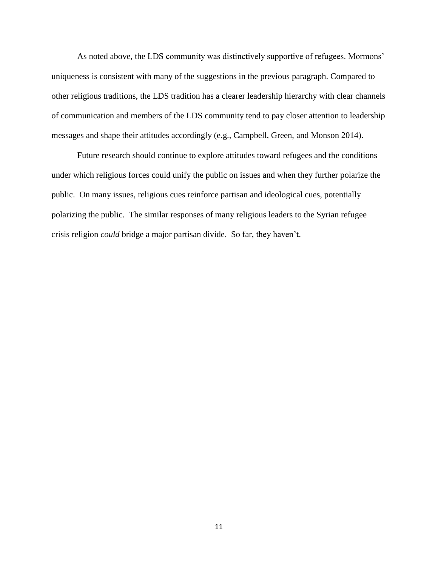As noted above, the LDS community was distinctively supportive of refugees. Mormons' uniqueness is consistent with many of the suggestions in the previous paragraph. Compared to other religious traditions, the LDS tradition has a clearer leadership hierarchy with clear channels of communication and members of the LDS community tend to pay closer attention to leadership messages and shape their attitudes accordingly (e.g., Campbell, Green, and Monson 2014).

Future research should continue to explore attitudes toward refugees and the conditions under which religious forces could unify the public on issues and when they further polarize the public. On many issues, religious cues reinforce partisan and ideological cues, potentially polarizing the public. The similar responses of many religious leaders to the Syrian refugee crisis religion *could* bridge a major partisan divide. So far, they haven't.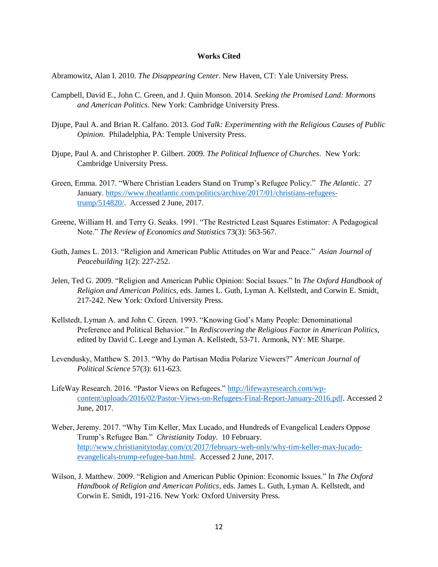#### **Works Cited**

Abramowitz, Alan I. 2010. *The Disappearing Center*. New Haven, CT: Yale University Press.

- Campbell, David E., John C. Green, and J. Quin Monson. 2014. *Seeking the Promised Land: Mormons and American Politics*. New York: Cambridge University Press.
- Djupe, Paul A. and Brian R. Calfano. 2013. *God Talk: Experimenting with the Religious Causes of Public Opinion*. Philadelphia, PA: Temple University Press.
- Djupe, Paul A. and Christopher P. Gilbert. 2009. *The Political Influence of Churches*. New York: Cambridge University Press.
- Green, Emma. 2017. "Where Christian Leaders Stand on Trump's Refugee Policy." *The Atlantic*. 27 January. [https://www.theatlantic.com/politics/archive/2017/01/christians-refugees](https://www.theatlantic.com/politics/archive/2017/01/christians-refugees-trump/514820/)[trump/514820/.](https://www.theatlantic.com/politics/archive/2017/01/christians-refugees-trump/514820/) Accessed 2 June, 2017.
- Greene, William H. and Terry G. Seaks. 1991. "The Restricted Least Squares Estimator: A Pedagogical Note." *The Review of Economics and Statistics* 73(3): 563-567.
- Guth, James L. 2013. "Religion and American Public Attitudes on War and Peace." *Asian Journal of Peacebuilding* 1(2): 227-252.
- Jelen, Ted G. 2009. "Religion and American Public Opinion: Social Issues." In *The Oxford Handbook of Religion and American Politics*, eds. James L. Guth, Lyman A. Kellstedt, and Corwin E. Smidt, 217-242. New York: Oxford University Press.
- Kellstedt, Lyman A. and John C. Green. 1993. "Knowing God's Many People: Denominational Preference and Political Behavior." In *Rediscovering the Religious Factor in American Politics*, edited by David C. Leege and Lyman A. Kellstedt, 53-71. Armonk, NY: ME Sharpe.
- Levendusky, Matthew S. 2013. "Why do Partisan Media Polarize Viewers?" *American Journal of Political Science* 57(3): 611-623.
- LifeWay Research. 2016. "Pastor Views on Refugees." [http://lifewayresearch.com/wp](http://lifewayresearch.com/wp-content/uploads/2016/02/Pastor-Views-on-Refugees-Final-Report-January-2016.pdf)[content/uploads/2016/02/Pastor-Views-on-Refugees-Final-Report-January-2016.pdf.](http://lifewayresearch.com/wp-content/uploads/2016/02/Pastor-Views-on-Refugees-Final-Report-January-2016.pdf) Accessed 2 June, 2017.
- Weber, Jeremy. 2017. "Why Tim Keller, Max Lucado, and Hundreds of Evangelical Leaders Oppose Trump's Refugee Ban." *Christianity Today*. 10 February. [http://www.christianitytoday.com/ct/2017/february-web-only/why-tim-keller-max-lucado](http://www.christianitytoday.com/ct/2017/february-web-only/why-tim-keller-max-lucado-evangelicals-trump-refugee-ban.html)[evangelicals-trump-refugee-ban.html.](http://www.christianitytoday.com/ct/2017/february-web-only/why-tim-keller-max-lucado-evangelicals-trump-refugee-ban.html) Accessed 2 June, 2017.
- Wilson, J. Matthew. 2009. "Religion and American Public Opinion: Economic Issues." In *The Oxford Handbook of Religion and American Politics*, eds. James L. Guth, Lyman A. Kellstedt, and Corwin E. Smidt, 191-216. New York: Oxford University Press.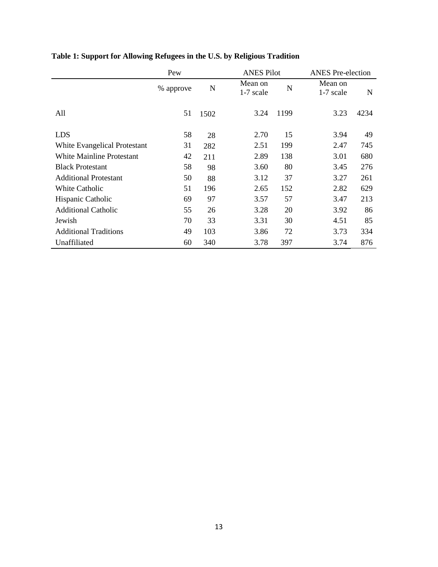|                                  | Pew       |      |                      | <b>ANES Pilot</b> |                      | <b>ANES</b> Pre-election |  |
|----------------------------------|-----------|------|----------------------|-------------------|----------------------|--------------------------|--|
|                                  | % approve | N    | Mean on<br>1-7 scale | N                 | Mean on<br>1-7 scale | N                        |  |
| All                              | 51        | 1502 | 3.24                 | 1199              | 3.23                 | 4234                     |  |
| <b>LDS</b>                       | 58        | 28   | 2.70                 | 15                | 3.94                 | 49                       |  |
| White Evangelical Protestant     | 31        | 282  | 2.51                 | 199               | 2.47                 | 745                      |  |
| <b>White Mainline Protestant</b> | 42        | 211  | 2.89                 | 138               | 3.01                 | 680                      |  |
| <b>Black Protestant</b>          | 58        | 98   | 3.60                 | 80                | 3.45                 | 276                      |  |
| <b>Additional Protestant</b>     | 50        | 88   | 3.12                 | 37                | 3.27                 | 261                      |  |
| White Catholic                   | 51        | 196  | 2.65                 | 152               | 2.82                 | 629                      |  |
| Hispanic Catholic                | 69        | 97   | 3.57                 | 57                | 3.47                 | 213                      |  |
| <b>Additional Catholic</b>       | 55        | 26   | 3.28                 | 20                | 3.92                 | 86                       |  |
| Jewish                           | 70        | 33   | 3.31                 | 30                | 4.51                 | 85                       |  |
| <b>Additional Traditions</b>     | 49        | 103  | 3.86                 | 72                | 3.73                 | 334                      |  |
| Unaffiliated                     | 60        | 340  | 3.78                 | 397               | 3.74                 | 876                      |  |

## **Table 1: Support for Allowing Refugees in the U.S. by Religious Tradition**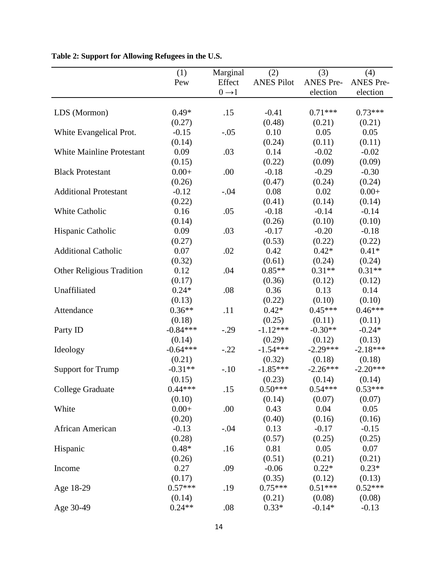|                                  | (1)        | Marginal          | (2)               | (3)              | (4)              |
|----------------------------------|------------|-------------------|-------------------|------------------|------------------|
|                                  | Pew        | Effect            | <b>ANES Pilot</b> | <b>ANES Pre-</b> | <b>ANES Pre-</b> |
|                                  |            | $0 \rightarrow 1$ |                   | election         | election         |
|                                  |            |                   |                   |                  |                  |
| LDS (Mormon)                     | $0.49*$    | .15               | $-0.41$           | $0.71***$        | $0.73***$        |
|                                  | (0.27)     |                   | (0.48)            | (0.21)           | (0.21)           |
| White Evangelical Prot.          | $-0.15$    | $-.05$            | 0.10              | 0.05             | 0.05             |
|                                  | (0.14)     |                   | (0.24)            | (0.11)           | (0.11)           |
| <b>White Mainline Protestant</b> | 0.09       | .03               | 0.14              | $-0.02$          | $-0.02$          |
|                                  | (0.15)     |                   | (0.22)            | (0.09)           | (0.09)           |
| <b>Black Protestant</b>          | $0.00+$    | .00               | $-0.18$           | $-0.29$          | $-0.30$          |
|                                  | (0.26)     |                   | (0.47)            | (0.24)           | (0.24)           |
| <b>Additional Protestant</b>     | $-0.12$    | $-.04$            | 0.08              | 0.02             | $0.00+$          |
|                                  | (0.22)     |                   | (0.41)            | (0.14)           | (0.14)           |
| <b>White Catholic</b>            | 0.16       | .05               | $-0.18$           | $-0.14$          | $-0.14$          |
|                                  | (0.14)     |                   | (0.26)            | (0.10)           | (0.10)           |
| Hispanic Catholic                | 0.09       | .03               | $-0.17$           | $-0.20$          | $-0.18$          |
|                                  | (0.27)     |                   | (0.53)            | (0.22)           | (0.22)           |
| <b>Additional Catholic</b>       | 0.07       | .02               | 0.42              | $0.42*$          | $0.41*$          |
|                                  | (0.32)     |                   | (0.61)            | (0.24)           | (0.24)           |
| <b>Other Religious Tradition</b> | 0.12       | .04               | $0.85**$          | $0.31**$         | $0.31**$         |
|                                  | (0.17)     |                   | (0.36)            | (0.12)           | (0.12)           |
| Unaffiliated                     | $0.24*$    | .08               | 0.36              | 0.13             | 0.14             |
|                                  | (0.13)     |                   | (0.22)            | (0.10)           | (0.10)           |
| Attendance                       | $0.36**$   | .11               | $0.42*$           | $0.45***$        | $0.46***$        |
|                                  | (0.18)     |                   | (0.25)            | (0.11)           | (0.11)           |
| Party ID                         | $-0.84***$ | $-.29$            | $-1.12***$        | $-0.30**$        | $-0.24*$         |
|                                  | (0.14)     |                   | (0.29)            | (0.12)           | (0.13)           |
| Ideology                         | $-0.64***$ | $-.22$            | $-1.54***$        | $-2.29***$       | $-2.18***$       |
|                                  | (0.21)     |                   | (0.32)            | (0.18)           | (0.18)           |
| <b>Support for Trump</b>         | $-0.31**$  | $-.10$            | $-1.85***$        | $-2.26***$       | $-2.20***$       |
|                                  | (0.15)     |                   | (0.23)            | (0.14)           | (0.14)           |
| <b>College Graduate</b>          | $0.44***$  | .15               | $0.50***$         | $0.54***$        | $0.53***$        |
|                                  | (0.10)     |                   | (0.14)            | (0.07)           | (0.07)           |
| White                            | $0.00+$    | .00               | 0.43              | 0.04             | 0.05             |
|                                  | (0.20)     |                   | (0.40)            | (0.16)           | (0.16)           |
| African American                 | $-0.13$    | $-.04$            | 0.13              | $-0.17$          | $-0.15$          |
|                                  | (0.28)     |                   | (0.57)            | (0.25)           | (0.25)           |
| Hispanic                         | $0.48*$    | .16               | 0.81              | 0.05             | 0.07             |
|                                  | (0.26)     |                   | (0.51)            | (0.21)           | (0.21)           |
| Income                           | 0.27       | .09               | $-0.06$           | $0.22*$          | $0.23*$          |
|                                  | (0.17)     |                   | (0.35)            | (0.12)           | (0.13)           |
| Age 18-29                        | $0.57***$  | .19               | $0.75***$         | $0.51***$        | $0.52***$        |
|                                  | (0.14)     |                   | (0.21)            | (0.08)           | (0.08)           |
| Age 30-49                        | $0.24**$   | .08               | $0.33*$           | $-0.14*$         | $-0.13$          |

**Table 2: Support for Allowing Refugees in the U.S.**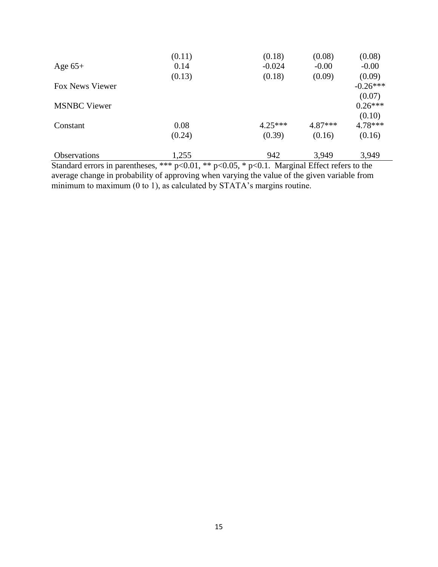| Age $65+$              | 0.14<br>(0.13) | $-0.024$<br>(0.18) | $-0.00$<br>(0.09) | $-0.00$<br>(0.09)    |
|------------------------|----------------|--------------------|-------------------|----------------------|
| <b>Fox News Viewer</b> |                |                    |                   | $-0.26***$<br>(0.07) |
| <b>MSNBC</b> Viewer    |                |                    |                   | $0.26***$<br>(0.10)  |
| Constant               | 0.08           | $4.25***$          | $4.87***$         | $4.78***$            |
|                        | (0.24)         | (0.39)             | (0.16)            | (0.16)               |
| <b>Observations</b>    | 1,255          | 942                | 3,949             | 3,949                |

Standard errors in parentheses, \*\*\*  $p<0.01$ , \*\*  $p<0.05$ , \*  $p<0.1$ . Marginal Effect refers to the average change in probability of approving when varying the value of the given variable from minimum to maximum (0 to 1), as calculated by STATA's margins routine.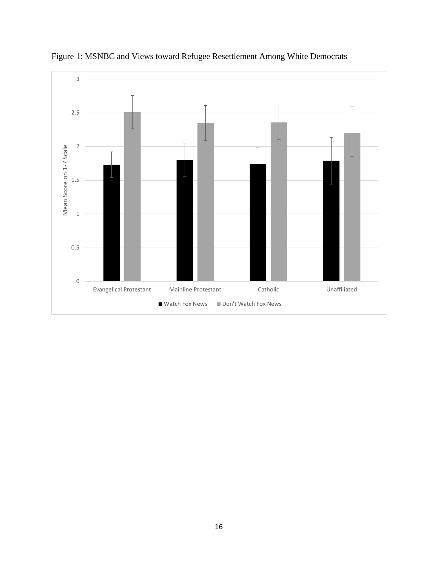

Figure 1: MSNBC and Views toward Refugee Resettlement Among White Democrats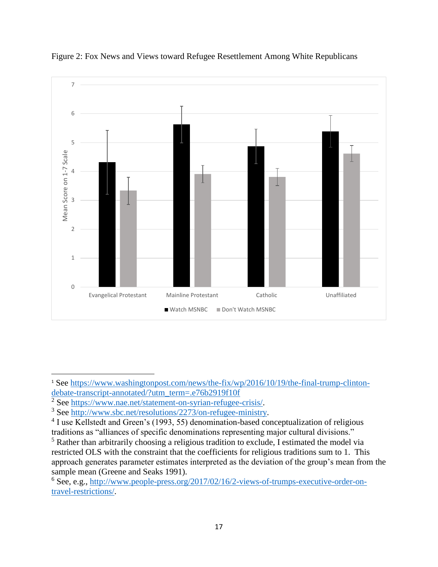

Figure 2: Fox News and Views toward Refugee Resettlement Among White Republicans

 $\overline{\phantom{a}}$ 

<sup>&</sup>lt;sup>1</sup> See [https://www.washingtonpost.com/news/the-fix/wp/2016/10/19/the-final-trump-clinton](https://www.washingtonpost.com/news/the-fix/wp/2016/10/19/the-final-trump-clinton-debate-transcript-annotated/?utm_term=.e76b2919f10f)[debate-transcript-annotated/?utm\\_term=.e76b2919f10f](https://www.washingtonpost.com/news/the-fix/wp/2016/10/19/the-final-trump-clinton-debate-transcript-annotated/?utm_term=.e76b2919f10f)

<sup>2</sup> See [https://www.nae.net/statement-on-syrian-refugee-crisis/.](https://www.nae.net/statement-on-syrian-refugee-crisis/)

<sup>3</sup> See [http://www.sbc.net/resolutions/2273/on-refugee-ministry.](http://www.sbc.net/resolutions/2273/on-refugee-ministry)

<sup>&</sup>lt;sup>4</sup> I use Kellstedt and Green's (1993, 55) denomination-based conceptualization of religious traditions as "alliances of specific denominations representing major cultural divisions."

<sup>&</sup>lt;sup>5</sup> Rather than arbitrarily choosing a religious tradition to exclude, I estimated the model via restricted OLS with the constraint that the coefficients for religious traditions sum to 1. This approach generates parameter estimates interpreted as the deviation of the group's mean from the sample mean (Greene and Seaks 1991).

<sup>6</sup> See, e.g., [http://www.people-press.org/2017/02/16/2-views-of-trumps-executive-order-on](http://www.people-press.org/2017/02/16/2-views-of-trumps-executive-order-on-travel-restrictions/)[travel-restrictions/.](http://www.people-press.org/2017/02/16/2-views-of-trumps-executive-order-on-travel-restrictions/)